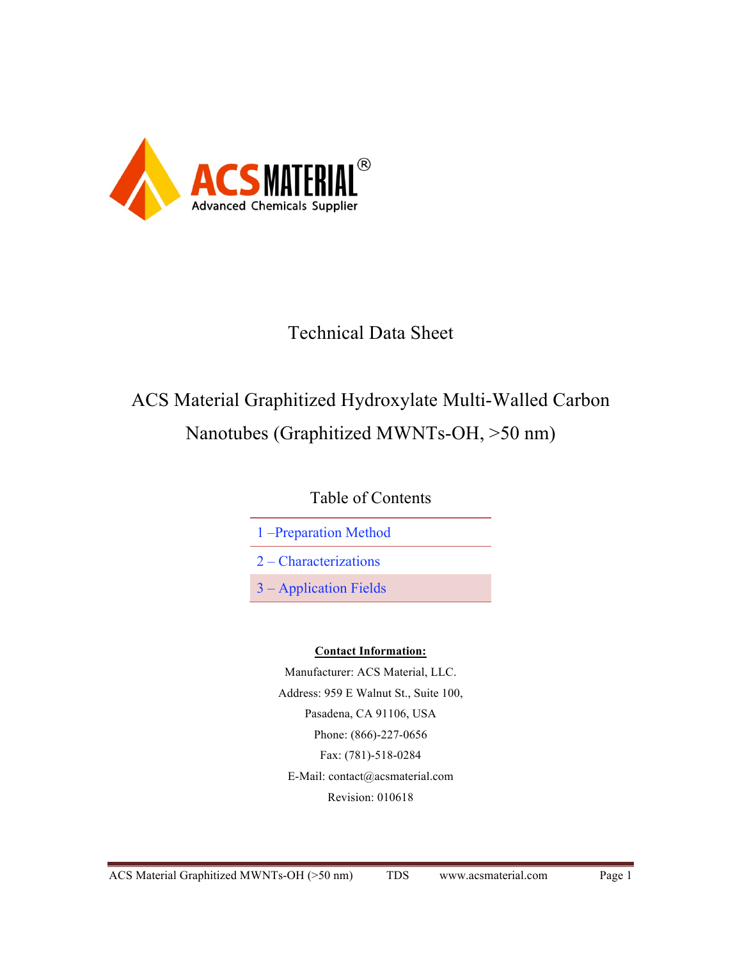

## Technical Data Sheet

# ACS Material Graphitized Hydroxylate Multi-Walled Carbon Nanotubes (Graphitized MWNTs-OH, >50 nm)

Table of Contents

1 –Preparation Method

2 – Characterizations

3 – Application Fields

### **Contact Information:**

Manufacturer: ACS Material, LLC. Address: 959 E Walnut St., Suite 100, Pasadena, CA 91106, USA Phone: (866)-227-0656 Fax: (781)-518-0284 E-Mail: contact@acsmaterial.com Revision: 010618